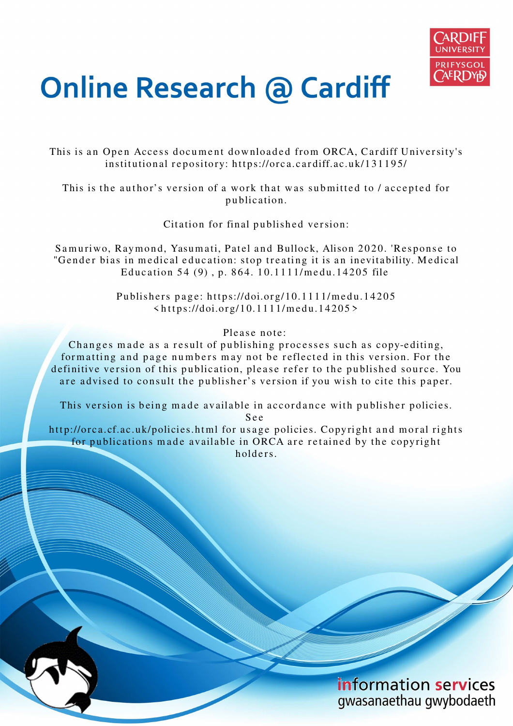

# **Online Research @ Cardiff**

This is an Open Access document downloaded from ORCA, Cardiff University's institutional repository: https://orca.cardiff.ac.uk/131195/

This is the author's version of a work that was submitted to / accepted for p u blication.

Citation for final published version:

Samuriwo, Raymond, Yasumati, Patel and Bullock, Alison 2020. 'Response to "Gender bias in medical education: stop treating it is an inevitability. Medical Education 54 (9), p. 864. 10.1111/medu.14205 file

> Publishers page: https://doi.org/10.1111/medu.14205  $\langle https://doi.org/10.1111/medu.14205\rangle$

> > Please note:

Changes made as a result of publishing processes such as copy-editing, formatting and page numbers may not be reflected in this version. For the definitive version of this publication, please refer to the published source. You are advised to consult the publisher's version if you wish to cite this paper.

This version is being made available in accordance with publisher policies.

S e e

http://orca.cf.ac.uk/policies.html for usage policies. Copyright and moral rights for publications made available in ORCA are retained by the copyright holders.

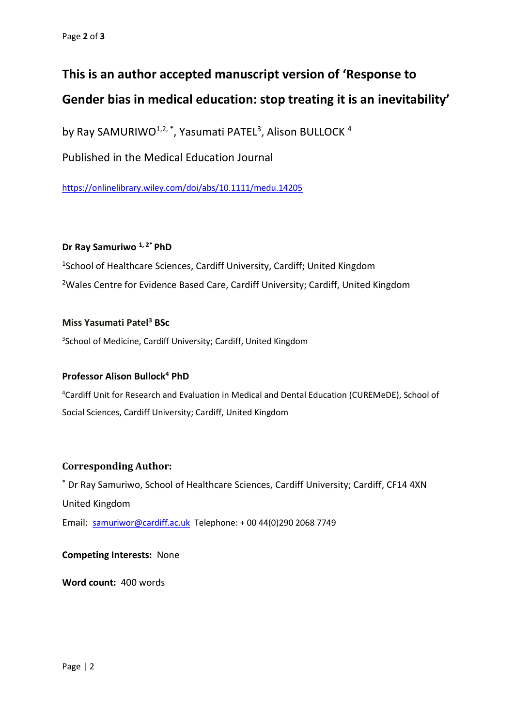## **This is an author accepted manuscript version of 'Response to Gender bias in medical education: stop treating it is an inevitability'**

by Ray SAMURIWO<sup>1,2,\*</sup>, Yasumati PATEL<sup>3</sup>, Alison BULLOCK<sup>4</sup>

Published in the Medical Education Journal

<https://onlinelibrary.wiley.com/doi/abs/10.1111/medu.14205>

#### **Dr Ray Samuriwo 1, 2\* PhD**

<sup>1</sup>School of Healthcare Sciences, Cardiff University, Cardiff; United Kingdom <sup>2</sup>Wales Centre for Evidence Based Care, Cardiff University; Cardiff, United Kingdom

#### **Miss Yasumati Patel<sup>3</sup> BSc**

<sup>3</sup>School of Medicine, Cardiff University; Cardiff, United Kingdom

#### **Professor Alison Bullock<sup>4</sup> PhD**

<sup>4</sup>Cardiff Unit for Research and Evaluation in Medical and Dental Education (CUREMeDE), School of Social Sciences, Cardiff University; Cardiff, United Kingdom

#### **Corresponding Author:**

**\*** Dr Ray Samuriwo, School of Healthcare Sciences, Cardiff University; Cardiff, CF14 4XN United Kingdom Email: [samuriwor@cardiff.ac.uk](about:blank) Telephone: + 00 44(0)290 2068 7749

#### **Competing Interests:** None

**Word count:** 400 words